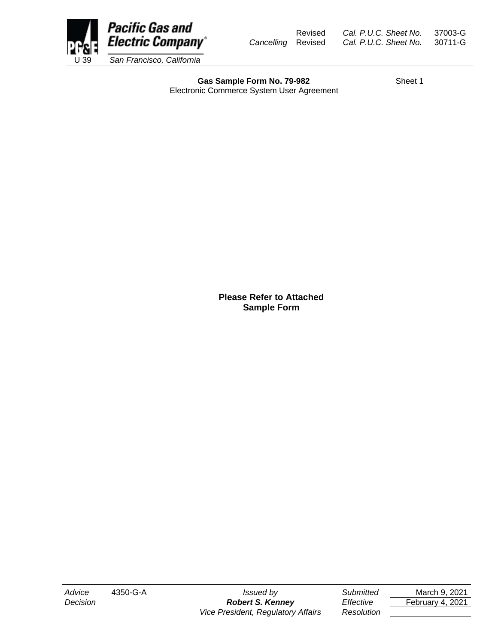

Revised *Cal. P.U.C. Sheet No.* 37003-G *Cancelling* Revised *Cal. P.U.C. Sheet No.* 30711-G

Gas Sample Form No. 79-982 Electronic Commerce System User Agreement

**Please Refer to Attached Sample Form**

*Decision Robert S. Kenney Effective* February 4, 2021 *Vice President, Regulatory Affairs Resolution*

*Advice* 4350-G-A *Issued by Submitted* March 9, 2021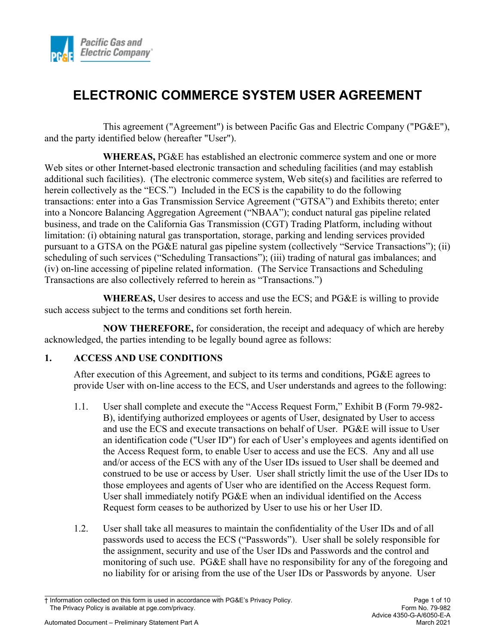

This agreement ("Agreement") is between Pacific Gas and Electric Company ("PG&E"), and the party identified below (hereafter "User").

**WHEREAS,** PG&E has established an electronic commerce system and one or more Web sites or other Internet-based electronic transaction and scheduling facilities (and may establish additional such facilities). (The electronic commerce system, Web site(s) and facilities are referred to herein collectively as the "ECS.") Included in the ECS is the capability to do the following transactions: enter into a Gas Transmission Service Agreement ("GTSA") and Exhibits thereto; enter into a Noncore Balancing Aggregation Agreement ("NBAA"); conduct natural gas pipeline related business, and trade on the California Gas Transmission (CGT) Trading Platform, including without limitation: (i) obtaining natural gas transportation, storage, parking and lending services provided pursuant to a GTSA on the PG&E natural gas pipeline system (collectively "Service Transactions"); (ii) scheduling of such services ("Scheduling Transactions"); (iii) trading of natural gas imbalances; and (iv) on-line accessing of pipeline related information. (The Service Transactions and Scheduling Transactions are also collectively referred to herein as "Transactions.")

**WHEREAS,** User desires to access and use the ECS; and PG&E is willing to provide such access subject to the terms and conditions set forth herein.

**NOW THEREFORE,** for consideration, the receipt and adequacy of which are hereby acknowledged, the parties intending to be legally bound agree as follows:

#### **1. ACCESS AND USE CONDITIONS**

After execution of this Agreement, and subject to its terms and conditions, PG&E agrees to provide User with on-line access to the ECS, and User understands and agrees to the following:

- 1.1. User shall complete and execute the "Access Request Form," Exhibit B (Form 79-982- B), identifying authorized employees or agents of User, designated by User to access and use the ECS and execute transactions on behalf of User. PG&E will issue to User an identification code ("User ID") for each of User's employees and agents identified on the Access Request form, to enable User to access and use the ECS. Any and all use and/or access of the ECS with any of the User IDs issued to User shall be deemed and construed to be use or access by User. User shall strictly limit the use of the User IDs to those employees and agents of User who are identified on the Access Request form. User shall immediately notify PG&E when an individual identified on the Access Request form ceases to be authorized by User to use his or her User ID.
- 1.2. User shall take all measures to maintain the confidentiality of the User IDs and of all passwords used to access the ECS ("Passwords"). User shall be solely responsible for the assignment, security and use of the User IDs and Passwords and the control and monitoring of such use. PG&E shall have no responsibility for any of the foregoing and no liability for or arising from the use of the User IDs or Passwords by anyone. User

<sup>†</sup> Information collected on this form is used in accordance with PG&E's Privacy Policy. Page 1 of 10 The Privacy Policy is available at pge.com/privacy.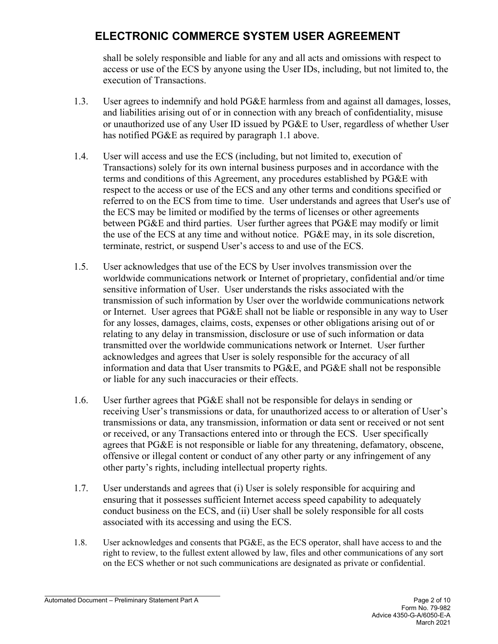shall be solely responsible and liable for any and all acts and omissions with respect to access or use of the ECS by anyone using the User IDs, including, but not limited to, the execution of Transactions.

- 1.3. User agrees to indemnify and hold PG&E harmless from and against all damages, losses, and liabilities arising out of or in connection with any breach of confidentiality, misuse or unauthorized use of any User ID issued by PG&E to User, regardless of whether User has notified PG&E as required by paragraph 1.1 above.
- 1.4. User will access and use the ECS (including, but not limited to, execution of Transactions) solely for its own internal business purposes and in accordance with the terms and conditions of this Agreement, any procedures established by PG&E with respect to the access or use of the ECS and any other terms and conditions specified or referred to on the ECS from time to time. User understands and agrees that User's use of the ECS may be limited or modified by the terms of licenses or other agreements between PG&E and third parties. User further agrees that PG&E may modify or limit the use of the ECS at any time and without notice. PG&E may, in its sole discretion, terminate, restrict, or suspend User's access to and use of the ECS.
- 1.5. User acknowledges that use of the ECS by User involves transmission over the worldwide communications network or Internet of proprietary, confidential and/or time sensitive information of User. User understands the risks associated with the transmission of such information by User over the worldwide communications network or Internet. User agrees that PG&E shall not be liable or responsible in any way to User for any losses, damages, claims, costs, expenses or other obligations arising out of or relating to any delay in transmission, disclosure or use of such information or data transmitted over the worldwide communications network or Internet. User further acknowledges and agrees that User is solely responsible for the accuracy of all information and data that User transmits to PG&E, and PG&E shall not be responsible or liable for any such inaccuracies or their effects.
- 1.6. User further agrees that PG&E shall not be responsible for delays in sending or receiving User's transmissions or data, for unauthorized access to or alteration of User's transmissions or data, any transmission, information or data sent or received or not sent or received, or any Transactions entered into or through the ECS. User specifically agrees that PG&E is not responsible or liable for any threatening, defamatory, obscene, offensive or illegal content or conduct of any other party or any infringement of any other party's rights, including intellectual property rights.
- 1.7. User understands and agrees that (i) User is solely responsible for acquiring and ensuring that it possesses sufficient Internet access speed capability to adequately conduct business on the ECS, and (ii) User shall be solely responsible for all costs associated with its accessing and using the ECS.
- 1.8. User acknowledges and consents that PG&E, as the ECS operator, shall have access to and the right to review, to the fullest extent allowed by law, files and other communications of any sort on the ECS whether or not such communications are designated as private or confidential.

Automated Document – Preliminary Statement Part A Page 2 of 10

Form No. 79-982 Advice 4350-G-A/6050-E-A March 2021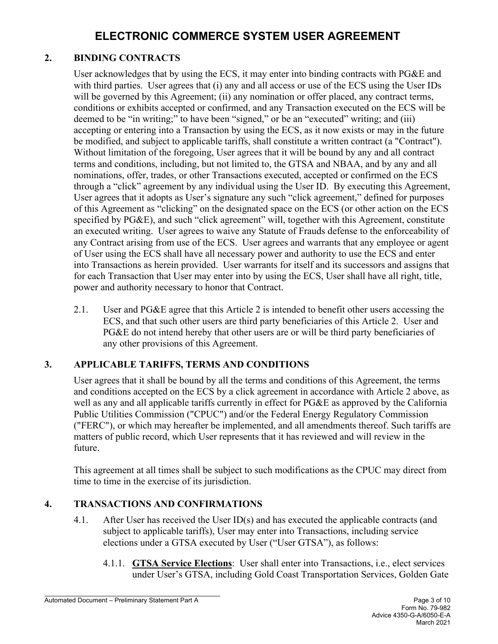### **2. BINDING CONTRACTS**

User acknowledges that by using the ECS, it may enter into binding contracts with PG&E and with third parties. User agrees that (i) any and all access or use of the ECS using the User IDs will be governed by this Agreement; (ii) any nomination or offer placed, any contract terms, conditions or exhibits accepted or confirmed, and any Transaction executed on the ECS will be deemed to be "in writing;" to have been "signed," or be an "executed" writing; and (iii) accepting or entering into a Transaction by using the ECS, as it now exists or may in the future be modified, and subject to applicable tariffs, shall constitute a written contract (a "Contract"). Without limitation of the foregoing, User agrees that it will be bound by any and all contract terms and conditions, including, but not limited to, the GTSA and NBAA, and by any and all nominations, offer, trades, or other Transactions executed, accepted or confirmed on the ECS through a "click" agreement by any individual using the User ID. By executing this Agreement, User agrees that it adopts as User's signature any such "click agreement," defined for purposes of this Agreement as "clicking" on the designated space on the ECS (or other action on the ECS specified by PG&E), and such "click agreement" will, together with this Agreement, constitute an executed writing. User agrees to waive any Statute of Frauds defense to the enforceability of any Contract arising from use of the ECS. User agrees and warrants that any employee or agent of User using the ECS shall have all necessary power and authority to use the ECS and enter into Transactions as herein provided. User warrants for itself and its successors and assigns that for each Transaction that User may enter into by using the ECS, User shall have all right, title, power and authority necessary to honor that Contract.

2.1. User and PG&E agree that this Article 2 is intended to benefit other users accessing the ECS, and that such other users are third party beneficiaries of this Article 2. User and PG&E do not intend hereby that other users are or will be third party beneficiaries of any other provisions of this Agreement.

### **3. APPLICABLE TARIFFS, TERMS AND CONDITIONS**

User agrees that it shall be bound by all the terms and conditions of this Agreement, the terms and conditions accepted on the ECS by a click agreement in accordance with Article 2 above, as well as any and all applicable tariffs currently in effect for PG&E as approved by the California Public Utilities Commission ("CPUC") and/or the Federal Energy Regulatory Commission ("FERC"), or which may hereafter be implemented, and all amendments thereof. Such tariffs are matters of public record, which User represents that it has reviewed and will review in the future.

This agreement at all times shall be subject to such modifications as the CPUC may direct from time to time in the exercise of its jurisdiction.

#### **4. TRANSACTIONS AND CONFIRMATIONS**

- 4.1. After User has received the User ID(s) and has executed the applicable contracts (and subject to applicable tariffs), User may enter into Transactions, including service elections under a GTSA executed by User ("User GTSA"), as follows:
	- 4.1.1. **GTSA Service Elections**: User shall enter into Transactions, i.e., elect services under User's GTSA, including Gold Coast Transportation Services, Golden Gate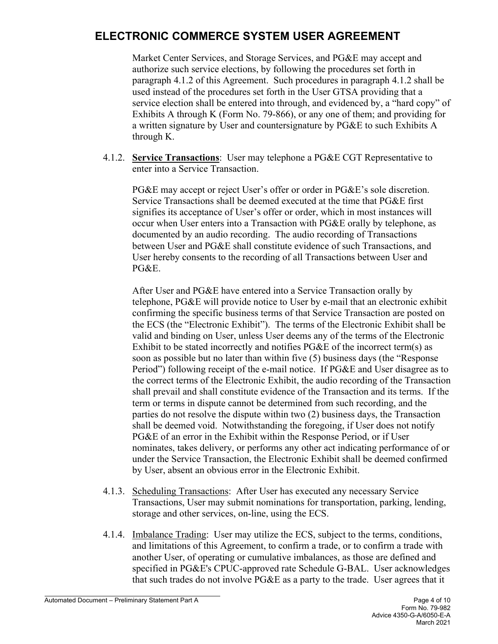Market Center Services, and Storage Services, and PG&E may accept and authorize such service elections, by following the procedures set forth in paragraph 4.1.2 of this Agreement. Such procedures in paragraph 4.1.2 shall be used instead of the procedures set forth in the User GTSA providing that a service election shall be entered into through, and evidenced by, a "hard copy" of Exhibits A through K (Form No. 79-866), or any one of them; and providing for a written signature by User and countersignature by PG&E to such Exhibits A through K.

4.1.2. **Service Transactions**: User may telephone a PG&E CGT Representative to enter into a Service Transaction.

PG&E may accept or reject User's offer or order in PG&E's sole discretion. Service Transactions shall be deemed executed at the time that PG&E first signifies its acceptance of User's offer or order, which in most instances will occur when User enters into a Transaction with PG&E orally by telephone, as documented by an audio recording. The audio recording of Transactions between User and PG&E shall constitute evidence of such Transactions, and User hereby consents to the recording of all Transactions between User and PG&E.

After User and PG&E have entered into a Service Transaction orally by telephone, PG&E will provide notice to User by e-mail that an electronic exhibit confirming the specific business terms of that Service Transaction are posted on the ECS (the "Electronic Exhibit"). The terms of the Electronic Exhibit shall be valid and binding on User, unless User deems any of the terms of the Electronic Exhibit to be stated incorrectly and notifies PG&E of the incorrect term(s) as soon as possible but no later than within five (5) business days (the "Response Period") following receipt of the e-mail notice. If PG&E and User disagree as to the correct terms of the Electronic Exhibit, the audio recording of the Transaction shall prevail and shall constitute evidence of the Transaction and its terms. If the term or terms in dispute cannot be determined from such recording, and the parties do not resolve the dispute within two (2) business days, the Transaction shall be deemed void. Notwithstanding the foregoing, if User does not notify PG&E of an error in the Exhibit within the Response Period, or if User nominates, takes delivery, or performs any other act indicating performance of or under the Service Transaction, the Electronic Exhibit shall be deemed confirmed by User, absent an obvious error in the Electronic Exhibit.

- 4.1.3. Scheduling Transactions: After User has executed any necessary Service Transactions, User may submit nominations for transportation, parking, lending, storage and other services, on-line, using the ECS.
- 4.1.4. Imbalance Trading: User may utilize the ECS, subject to the terms, conditions, and limitations of this Agreement, to confirm a trade, or to confirm a trade with another User, of operating or cumulative imbalances, as those are defined and specified in PG&E's CPUC-approved rate Schedule G-BAL. User acknowledges that such trades do not involve PG&E as a party to the trade. User agrees that it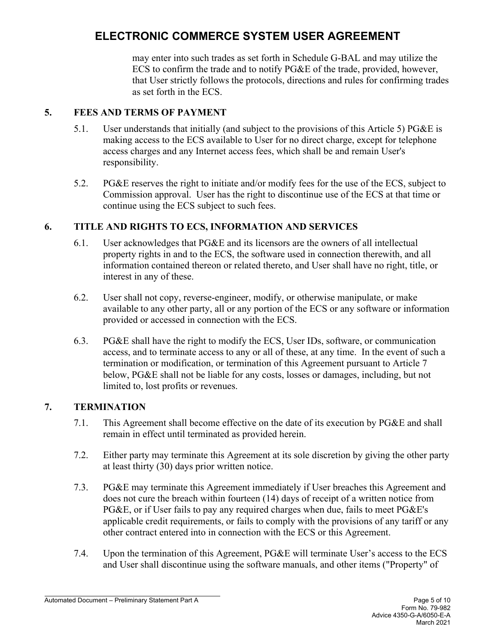may enter into such trades as set forth in Schedule G-BAL and may utilize the ECS to confirm the trade and to notify PG&E of the trade, provided, however, that User strictly follows the protocols, directions and rules for confirming trades as set forth in the ECS.

#### **5. FEES AND TERMS OF PAYMENT**

- 5.1. User understands that initially (and subject to the provisions of this Article 5) PG&E is making access to the ECS available to User for no direct charge, except for telephone access charges and any Internet access fees, which shall be and remain User's responsibility.
- 5.2. PG&E reserves the right to initiate and/or modify fees for the use of the ECS, subject to Commission approval. User has the right to discontinue use of the ECS at that time or continue using the ECS subject to such fees.

### **6. TITLE AND RIGHTS TO ECS, INFORMATION AND SERVICES**

- 6.1. User acknowledges that PG&E and its licensors are the owners of all intellectual property rights in and to the ECS, the software used in connection therewith, and all information contained thereon or related thereto, and User shall have no right, title, or interest in any of these.
- 6.2. User shall not copy, reverse-engineer, modify, or otherwise manipulate, or make available to any other party, all or any portion of the ECS or any software or information provided or accessed in connection with the ECS.
- 6.3. PG&E shall have the right to modify the ECS, User IDs, software, or communication access, and to terminate access to any or all of these, at any time. In the event of such a termination or modification, or termination of this Agreement pursuant to Article 7 below, PG&E shall not be liable for any costs, losses or damages, including, but not limited to, lost profits or revenues.

### **7. TERMINATION**

- 7.1. This Agreement shall become effective on the date of its execution by PG&E and shall remain in effect until terminated as provided herein.
- 7.2. Either party may terminate this Agreement at its sole discretion by giving the other party at least thirty (30) days prior written notice.
- 7.3. PG&E may terminate this Agreement immediately if User breaches this Agreement and does not cure the breach within fourteen (14) days of receipt of a written notice from PG&E, or if User fails to pay any required charges when due, fails to meet PG&E's applicable credit requirements, or fails to comply with the provisions of any tariff or any other contract entered into in connection with the ECS or this Agreement.
- 7.4. Upon the termination of this Agreement, PG&E will terminate User's access to the ECS and User shall discontinue using the software manuals, and other items ("Property" of

Automated Document – Preliminary Statement Part A **Page 5 of 10** Page 5 of 10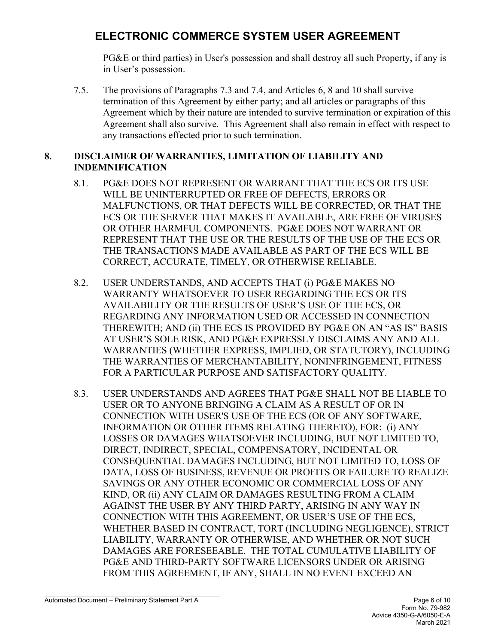PG&E or third parties) in User's possession and shall destroy all such Property, if any is in User's possession.

7.5. The provisions of Paragraphs 7.3 and 7.4, and Articles 6, 8 and 10 shall survive termination of this Agreement by either party; and all articles or paragraphs of this Agreement which by their nature are intended to survive termination or expiration of this Agreement shall also survive. This Agreement shall also remain in effect with respect to any transactions effected prior to such termination.

#### **8. DISCLAIMER OF WARRANTIES, LIMITATION OF LIABILITY AND INDEMNIFICATION**

- 8.1. PG&E DOES NOT REPRESENT OR WARRANT THAT THE ECS OR ITS USE WILL BE UNINTERRUPTED OR FREE OF DEFECTS, ERRORS OR MALFUNCTIONS, OR THAT DEFECTS WILL BE CORRECTED, OR THAT THE ECS OR THE SERVER THAT MAKES IT AVAILABLE, ARE FREE OF VIRUSES OR OTHER HARMFUL COMPONENTS. PG&E DOES NOT WARRANT OR REPRESENT THAT THE USE OR THE RESULTS OF THE USE OF THE ECS OR THE TRANSACTIONS MADE AVAILABLE AS PART OF THE ECS WILL BE CORRECT, ACCURATE, TIMELY, OR OTHERWISE RELIABLE.
- 8.2. USER UNDERSTANDS, AND ACCEPTS THAT (i) PG&E MAKES NO WARRANTY WHATSOEVER TO USER REGARDING THE ECS OR ITS AVAILABILITY OR THE RESULTS OF USER'S USE OF THE ECS, OR REGARDING ANY INFORMATION USED OR ACCESSED IN CONNECTION THEREWITH; AND (ii) THE ECS IS PROVIDED BY PG&E ON AN "AS IS" BASIS AT USER'S SOLE RISK, AND PG&E EXPRESSLY DISCLAIMS ANY AND ALL WARRANTIES (WHETHER EXPRESS, IMPLIED, OR STATUTORY), INCLUDING THE WARRANTIES OF MERCHANTABILITY, NONINFRINGEMENT, FITNESS FOR A PARTICULAR PURPOSE AND SATISFACTORY QUALITY*.*
- 8.3. USER UNDERSTANDS AND AGREES THAT PG&E SHALL NOT BE LIABLE TO USER OR TO ANYONE BRINGING A CLAIM AS A RESULT OF OR IN CONNECTION WITH USER'S USE OF THE ECS (OR OF ANY SOFTWARE, INFORMATION OR OTHER ITEMS RELATING THERETO), FOR: (i) ANY LOSSES OR DAMAGES WHATSOEVER INCLUDING, BUT NOT LIMITED TO, DIRECT, INDIRECT, SPECIAL, COMPENSATORY, INCIDENTAL OR CONSEQUENTIAL DAMAGES INCLUDING, BUT NOT LIMITED TO, LOSS OF DATA, LOSS OF BUSINESS, REVENUE OR PROFITS OR FAILURE TO REALIZE SAVINGS OR ANY OTHER ECONOMIC OR COMMERCIAL LOSS OF ANY KIND, OR (ii) ANY CLAIM OR DAMAGES RESULTING FROM A CLAIM AGAINST THE USER BY ANY THIRD PARTY, ARISING IN ANY WAY IN CONNECTION WITH THIS AGREEMENT, OR USER'S USE OF THE ECS, WHETHER BASED IN CONTRACT, TORT (INCLUDING NEGLIGENCE), STRICT LIABILITY, WARRANTY OR OTHERWISE, AND WHETHER OR NOT SUCH DAMAGES ARE FORESEEABLE. THE TOTAL CUMULATIVE LIABILITY OF PG&E AND THIRD-PARTY SOFTWARE LICENSORS UNDER OR ARISING FROM THIS AGREEMENT, IF ANY, SHALL IN NO EVENT EXCEED AN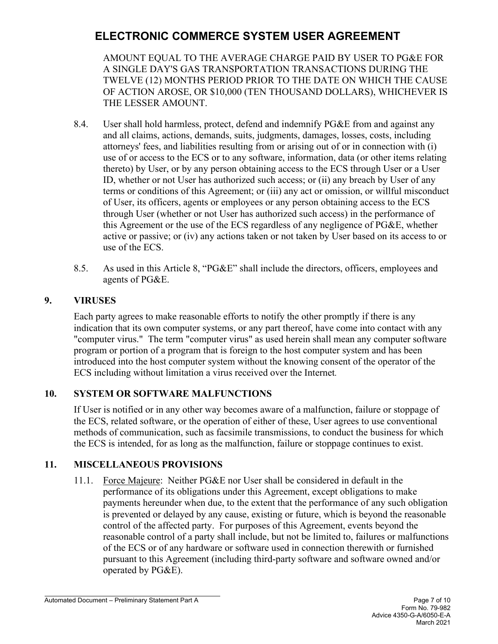AMOUNT EQUAL TO THE AVERAGE CHARGE PAID BY USER TO PG&E FOR A SINGLE DAY'S GAS TRANSPORTATION TRANSACTIONS DURING THE TWELVE (12) MONTHS PERIOD PRIOR TO THE DATE ON WHICH THE CAUSE OF ACTION AROSE, OR \$10,000 (TEN THOUSAND DOLLARS), WHICHEVER IS THE LESSER AMOUNT.

- 8.4. User shall hold harmless, protect, defend and indemnify PG&E from and against any and all claims, actions, demands, suits, judgments, damages, losses, costs, including attorneys' fees, and liabilities resulting from or arising out of or in connection with (i) use of or access to the ECS or to any software, information, data (or other items relating thereto) by User, or by any person obtaining access to the ECS through User or a User ID, whether or not User has authorized such access; or (ii) any breach by User of any terms or conditions of this Agreement; or (iii) any act or omission, or willful misconduct of User, its officers, agents or employees or any person obtaining access to the ECS through User (whether or not User has authorized such access) in the performance of this Agreement or the use of the ECS regardless of any negligence of PG&E, whether active or passive; or (iv) any actions taken or not taken by User based on its access to or use of the ECS.
- 8.5. As used in this Article 8, "PG&E" shall include the directors, officers, employees and agents of PG&E.

#### **9. VIRUSES**

Each party agrees to make reasonable efforts to notify the other promptly if there is any indication that its own computer systems, or any part thereof, have come into contact with any "computer virus." The term "computer virus" as used herein shall mean any computer software program or portion of a program that is foreign to the host computer system and has been introduced into the host computer system without the knowing consent of the operator of the ECS including without limitation a virus received over the Internet*.*

#### **10. SYSTEM OR SOFTWARE MALFUNCTIONS**

If User is notified or in any other way becomes aware of a malfunction, failure or stoppage of the ECS, related software, or the operation of either of these, User agrees to use conventional methods of communication, such as facsimile transmissions, to conduct the business for which the ECS is intended, for as long as the malfunction, failure or stoppage continues to exist.

### **11. MISCELLANEOUS PROVISIONS**

11.1. Force Majeure: Neither PG&E nor User shall be considered in default in the performance of its obligations under this Agreement, except obligations to make payments hereunder when due, to the extent that the performance of any such obligation is prevented or delayed by any cause, existing or future, which is beyond the reasonable control of the affected party. For purposes of this Agreement, events beyond the reasonable control of a party shall include, but not be limited to, failures or malfunctions of the ECS or of any hardware or software used in connection therewith or furnished pursuant to this Agreement (including third-party software and software owned and/or operated by PG&E).

Automated Document – Preliminary Statement Part A **Page 7** of 10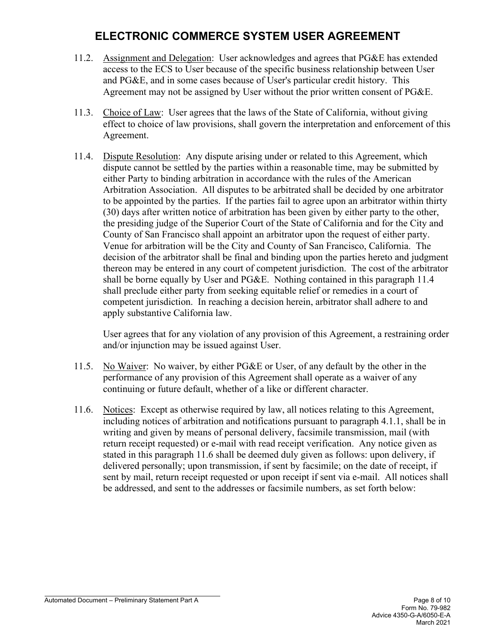- 11.2. Assignment and Delegation: User acknowledges and agrees that PG&E has extended access to the ECS to User because of the specific business relationship between User and PG&E, and in some cases because of User's particular credit history. This Agreement may not be assigned by User without the prior written consent of PG&E.
- 11.3. Choice of Law: User agrees that the laws of the State of California, without giving effect to choice of law provisions, shall govern the interpretation and enforcement of this Agreement.
- 11.4. Dispute Resolution: Any dispute arising under or related to this Agreement, which dispute cannot be settled by the parties within a reasonable time, may be submitted by either Party to binding arbitration in accordance with the rules of the American Arbitration Association. All disputes to be arbitrated shall be decided by one arbitrator to be appointed by the parties. If the parties fail to agree upon an arbitrator within thirty (30) days after written notice of arbitration has been given by either party to the other, the presiding judge of the Superior Court of the State of California and for the City and County of San Francisco shall appoint an arbitrator upon the request of either party. Venue for arbitration will be the City and County of San Francisco, California. The decision of the arbitrator shall be final and binding upon the parties hereto and judgment thereon may be entered in any court of competent jurisdiction. The cost of the arbitrator shall be borne equally by User and PG&E. Nothing contained in this paragraph 11.4 shall preclude either party from seeking equitable relief or remedies in a court of competent jurisdiction. In reaching a decision herein, arbitrator shall adhere to and apply substantive California law.

User agrees that for any violation of any provision of this Agreement, a restraining order and/or injunction may be issued against User.

- 11.5. No Waiver: No waiver, by either PG&E or User, of any default by the other in the performance of any provision of this Agreement shall operate as a waiver of any continuing or future default, whether of a like or different character.
- 11.6. Notices: Except as otherwise required by law, all notices relating to this Agreement, including notices of arbitration and notifications pursuant to paragraph 4.1.1, shall be in writing and given by means of personal delivery, facsimile transmission, mail (with return receipt requested) or e-mail with read receipt verification. Any notice given as stated in this paragraph 11.6 shall be deemed duly given as follows: upon delivery, if delivered personally; upon transmission, if sent by facsimile; on the date of receipt, if sent by mail, return receipt requested or upon receipt if sent via e-mail. All notices shall be addressed, and sent to the addresses or facsimile numbers, as set forth below: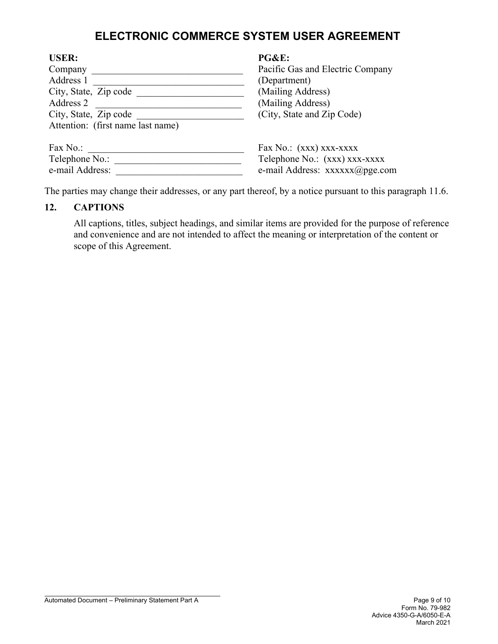| <b>USER:</b>                      | PG&E:                            |
|-----------------------------------|----------------------------------|
| Company                           | Pacific Gas and Electric Company |
| Address 1                         | (Department)                     |
| City, State, Zip code             | (Mailing Address)                |
| Address 2                         | (Mailing Address)                |
| City, State, Zip code             | (City, State and Zip Code)       |
| Attention: (first name last name) |                                  |
|                                   |                                  |
| Fax $No.$ :                       | Fax No.: (XXX) XXX-XXXX          |
| Telephone No.:                    | Telephone No.: (xxx) xxx-xxxx    |
| e-mail Address:                   | e-mail Address: xxxxxx@pge.com   |

The parties may change their addresses, or any part thereof, by a notice pursuant to this paragraph 11.6.

#### **12. CAPTIONS**

All captions, titles, subject headings, and similar items are provided for the purpose of reference and convenience and are not intended to affect the meaning or interpretation of the content or scope of this Agreement.